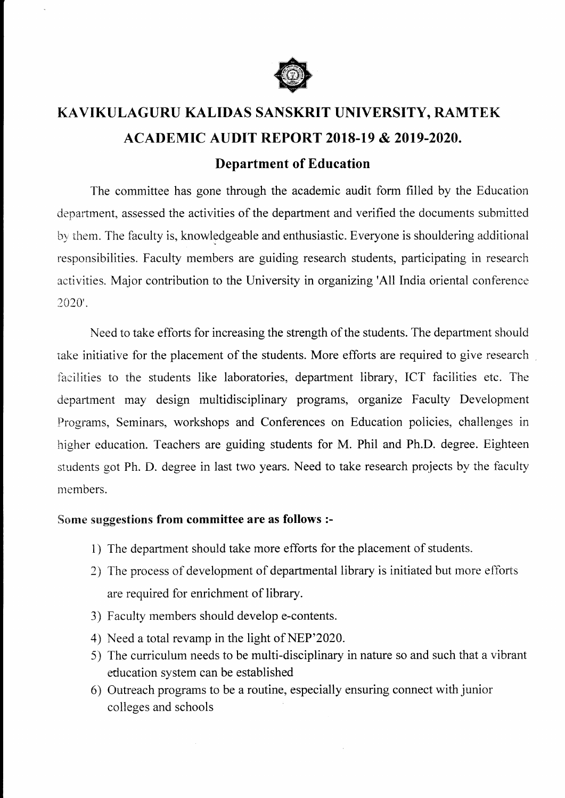

## KAVIKULAGURU KALIDAS SANSKRIT UNIVERSITY, RAMTEK ACADEMIC AUDIT REPORT 2018-19 & 2019-2020.

## Department of Education

The committee has gone through the academic audit form filled by the Education department, assessed the activities of the department and verified the documents submitted by them. The faculty is, knowledgeable and enthusiastic. Everyone is shouldering additional responsibilities. Faculty members are guiding research students, participating in research activities. Major contribution to the University in organizing'All tndia oriental conference 2020'.

Need to take efforts for increasing the strength of the students. The department should take initiative for the placement of the students. More efforts are required to give research fasilities to the students like laboratories, department library, ICT facilities etc. The department may design multidisciplinary programs, organize Faculty Development Programs, Seminars, workshops and Conferences on Education policies, challenges in higher education. Teachers are guiding students for M. Phil and Ph.D. degree. Eighteen students got Ph. D. degree in last two years. Need to take research projects by the faculty members.

## Some suggestions from committee are as follows :-

- 1) The department should take more efforts for the placement of students.
- 2) The process of development of departmental library is initiated but more efforts are required for enrichment of library.
- 3) Faculty members should develop e-contents.
- 4) Need a total revamp in the light of NEP'202A.
- 5) The curriculum needs to be multi-disciplinary in nature so and such that a vibrant education system can be established
- 6) Outreach programs to be a routine, especially ensuring connect with junior colleges and schools